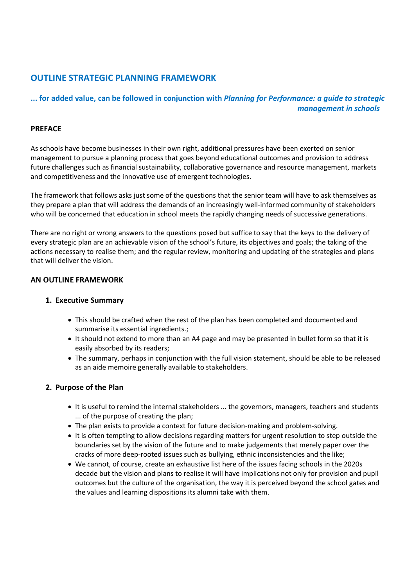# **OUTLINE STRATEGIC PLANNING FRAMEWORK**

# **... for added value, can be followed in conjunction with** *Planning for Performance: a guide to strategic management in schools*

# **PREFACE**

As schools have become businesses in their own right, additional pressures have been exerted on senior management to pursue a planning process that goes beyond educational outcomes and provision to address future challenges such as financial sustainability, collaborative governance and resource management, markets and competitiveness and the innovative use of emergent technologies.

The framework that follows asks just some of the questions that the senior team will have to ask themselves as they prepare a plan that will address the demands of an increasingly well-informed community of stakeholders who will be concerned that education in school meets the rapidly changing needs of successive generations.

There are no right or wrong answers to the questions posed but suffice to say that the keys to the delivery of every strategic plan are an achievable vision of the school's future, its objectives and goals; the taking of the actions necessary to realise them; and the regular review, monitoring and updating of the strategies and plans that will deliver the vision.

#### **AN OUTLINE FRAMEWORK**

#### **1. Executive Summary**

- This should be crafted when the rest of the plan has been completed and documented and summarise its essential ingredients.;
- It should not extend to more than an A4 page and may be presented in bullet form so that it is easily absorbed by its readers;
- The summary, perhaps in conjunction with the full vision statement, should be able to be released as an aide memoire generally available to stakeholders.

# **2. Purpose of the Plan**

- It is useful to remind the internal stakeholders ... the governors, managers, teachers and students ... of the purpose of creating the plan;
- The plan exists to provide a context for future decision-making and problem-solving.
- It is often tempting to allow decisions regarding matters for urgent resolution to step outside the boundaries set by the vision of the future and to make judgements that merely paper over the cracks of more deep-rooted issues such as bullying, ethnic inconsistencies and the like;
- We cannot, of course, create an exhaustive list here of the issues facing schools in the 2020s decade but the vision and plans to realise it will have implications not only for provision and pupil outcomes but the culture of the organisation, the way it is perceived beyond the school gates and the values and learning dispositions its alumni take with them.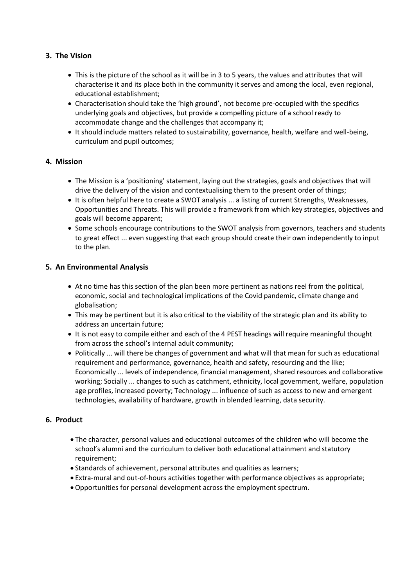# **3. The Vision**

- This is the picture of the school as it will be in 3 to 5 years, the values and attributes that will characterise it and its place both in the community it serves and among the local, even regional, educational establishment;
- Characterisation should take the 'high ground', not become pre-occupied with the specifics underlying goals and objectives, but provide a compelling picture of a school ready to accommodate change and the challenges that accompany it;
- It should include matters related to sustainability, governance, health, welfare and well-being, curriculum and pupil outcomes;

# **4. Mission**

- The Mission is a 'positioning' statement, laying out the strategies, goals and objectives that will drive the delivery of the vision and contextualising them to the present order of things;
- It is often helpful here to create a SWOT analysis ... a listing of current Strengths, Weaknesses, Opportunities and Threats. This will provide a framework from which key strategies, objectives and goals will become apparent;
- Some schools encourage contributions to the SWOT analysis from governors, teachers and students to great effect ... even suggesting that each group should create their own independently to input to the plan.

# **5. An Environmental Analysis**

- At no time has this section of the plan been more pertinent as nations reel from the political, economic, social and technological implications of the Covid pandemic, climate change and globalisation;
- This may be pertinent but it is also critical to the viability of the strategic plan and its ability to address an uncertain future;
- It is not easy to compile either and each of the 4 PEST headings will require meaningful thought from across the school's internal adult community;
- Politically ... will there be changes of government and what will that mean for such as educational requirement and performance, governance, health and safety, resourcing and the like; Economically ... levels of independence, financial management, shared resources and collaborative working; Socially ... changes to such as catchment, ethnicity, local government, welfare, population age profiles, increased poverty; Technology ... influence of such as access to new and emergent technologies, availability of hardware, growth in blended learning, data security.

# **6. Product**

- The character, personal values and educational outcomes of the children who will become the school's alumni and the curriculum to deliver both educational attainment and statutory requirement;
- Standards of achievement, personal attributes and qualities as learners;
- Extra-mural and out-of-hours activities together with performance objectives as appropriate;
- Opportunities for personal development across the employment spectrum.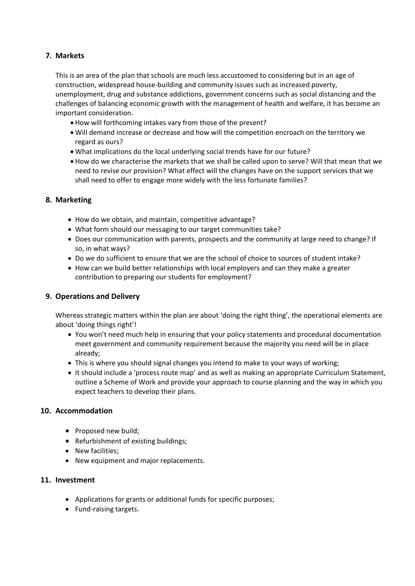# **7. Markets**

This is an area of the plan that schools are much less accustomed to considering but in an age of construction, widespread house-building and community issues such as increased poverty, unemployment, drug and substance addictions, government concerns such as social distancing and the challenges of balancing economic growth with the management of health and welfare, it has become an important consideration.

- How will forthcoming intakes vary from those of the present?
- Will demand increase or decrease and how will the competition encroach on the territory we regard as ours?
- What implications do the local underlying social trends have for our future?
- How do we characterise the markets that we shall be called upon to serve? Will that mean that we need to revise our provision? What effect will the changes have on the support services that we shall need to offer to engage more widely with the less fortunate families?

#### **8. Marketing**

- How do we obtain, and maintain, competitive advantage?
- What form should our messaging to our target communities take?
- Does our communication with parents, prospects and the community at large need to change? If so, in what ways?
- Do we do sufficient to ensure that we are the school of choice to sources of student intake?
- How can we build better relationships with local employers and can they make a greater contribution to preparing our students for employment?

### **9. Operations and Delivery**

Whereas strategic matters within the plan are about 'doing the right thing', the operational elements are about 'doing things right'!

- You won't need much help in ensuring that your policy statements and procedural documentation meet government and community requirement because the majority you need will be in place already;
- This is where you should signal changes you intend to make to your ways of working;
- It should include a 'process route map' and as well as making an appropriate Curriculum Statement, outline a Scheme of Work and provide your approach to course planning and the way in which you expect teachers to develop their plans.

#### **10. Accommodation**

- Proposed new build;
- Refurbishment of existing buildings;
- New facilities;
- New equipment and major replacements.

#### **11. Investment**

- Applications for grants or additional funds for specific purposes;
- Fund-raising targets.